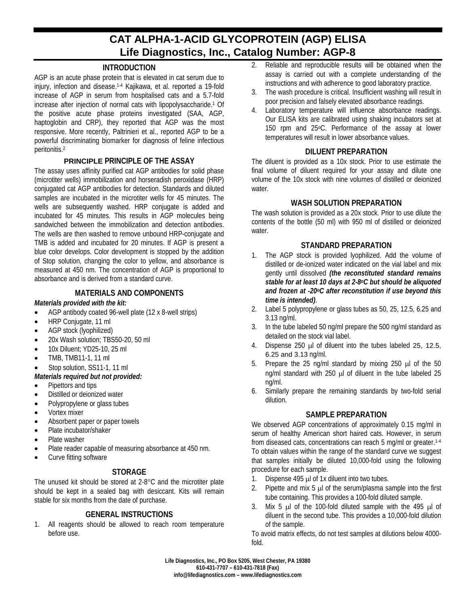# **CAT ALPHA-1-ACID GLYCOPROTEIN (AGP) ELISA Life Diagnostics, Inc., Catalog Number: AGP-8**

## **INTRODUCTION**

AGP is an acute phase protein that is elevated in cat serum due to injury, infection and disease.1-4 Kajikawa, et al. reported a 19-fold increase of AGP in serum from hospitalised cats and a 5.7-fold increase after injection of normal cats with lipopolysaccharide.1 Of the positive acute phase proteins investigated (SAA, AGP, haptoglobin and CRP), they reported that AGP was the most responsive. More recently, Paltrinieri et al., reported AGP to be a powerful discriminating biomarker for diagnosis of feline infectious peritonitis.2

## **PRINCIPLE PRINCIPLE OF THE ASSAY**

The assay uses affinity purified cat AGP antibodies for solid phase (microtiter wells) immobilization and horseradish peroxidase (HRP) conjugated cat AGP antibodies for detection. Standards and diluted samples are incubated in the microtiter wells for 45 minutes. The wells are subsequently washed. HRP conjugate is added and incubated for 45 minutes. This results in AGP molecules being sandwiched between the immobilization and detection antibodies. The wells are then washed to remove unbound HRP-conjugate and TMB is added and incubated for 20 minutes. If AGP is present a blue color develops. Color development is stopped by the addition of Stop solution, changing the color to yellow, and absorbance is measured at 450 nm. The concentration of AGP is proportional to absorbance and is derived from a standard curve.

## **MATERIALS AND COMPONENTS**

## *Materials provided with the kit:*

- AGP antibody coated 96-well plate (12 x 8-well strips)
- HRP Conjugate, 11 ml
- AGP stock (Iyophilized)
- 20x Wash solution; TBS50-20, 50 ml
- 10x Diluent; YD25-10, 25 ml
- TMB, TMB11-1, 11 ml
- Stop solution, SS11-1, 11 ml
- *Materials required but not provided:*
- Pipettors and tips
- Distilled or deionized water
- Polypropylene or glass tubes
- Vortex mixer
- Absorbent paper or paper towels
- Plate incubator/shaker
- Plate washer
- Plate reader capable of measuring absorbance at 450 nm.
- Curve fitting software

#### **STORAGE**

The unused kit should be stored at 2-8°C and the microtiter plate should be kept in a sealed bag with desiccant. Kits will remain stable for six months from the date of purchase.

#### **GENERAL INSTRUCTIONS**

1. All reagents should be allowed to reach room temperature before use.

- 2. Reliable and reproducible results will be obtained when the assay is carried out with a complete understanding of the instructions and with adherence to good laboratory practice.
- 3. The wash procedure is critical. Insufficient washing will result in poor precision and falsely elevated absorbance readings.
- 4. Laboratory temperature will influence absorbance readings. Our ELISA kits are calibrated using shaking incubators set at 150 rpm and 25°C. Performance of the assay at lower temperatures will result in lower absorbance values.

#### **DILUENT PREPARATION**

The diluent is provided as a 10x stock. Prior to use estimate the final volume of diluent required for your assay and dilute one volume of the 10x stock with nine volumes of distilled or deionized water.

## **WASH SOLUTION PREPARATION**

The wash solution is provided as a 20x stock. Prior to use dilute the contents of the bottle (50 ml) with 950 ml of distilled or deionized water.

## **STANDARD PREPARATION**

- 1. The AGP stock is provided lyophilized. Add the volume of distilled or de-ionized water indicated on the vial label and mix gently until dissolved *(the reconstituted standard remains stable for at least 10 days at 2-8oC but should be aliquoted and frozen at -20oC after reconstitution if use beyond this time is intended)*.
- 2. Label 5 polypropylene or glass tubes as 50, 25, 12.5, 6.25 and 3.13 ng/ml.
- 3. In the tube labeled 50 ng/ml prepare the 500 ng/ml standard as detailed on the stock vial label.
- 4. Dispense 250 µl of diluent into the tubes labeled 25, 12.5, 6.25 and 3.13 ng/ml.
- 5. Prepare the 25 ng/ml standard by mixing 250 µl of the 50 ng/ml standard with 250  $\mu$ l of diluent in the tube labeled 25 ng/ml.
- 6. Similarly prepare the remaining standards by two-fold serial dilution.

# **SAMPLE PREPARATION**

We observed AGP concentrations of approximately 0.15 mg/ml in serum of healthy American short haired cats. However, in serum from diseased cats, concentrations can reach 5 mg/ml or greater.1-4 To obtain values within the range of the standard curve we suggest that samples initially be diluted 10,000-fold using the following procedure for each sample.

- 1. Dispense 495 µl of 1x diluent into two tubes.
- 2. Pipette and mix  $5 \mu$  of the serum/plasma sample into the first tube containing. This provides a 100-fold diluted sample.
- 3. Mix 5  $\mu$  of the 100-fold diluted sample with the 495  $\mu$  of diluent in the second tube. This provides a 10,000-fold dilution of the sample.

To avoid matrix effects, do not test samples at dilutions below 4000 fold.

**Life Diagnostics, Inc., PO Box 5205, West Chester, PA 19380 610-431-7707 – 610-431-7818 (Fax) info@lifediagnostics.com – www.lifediagnostics.com**